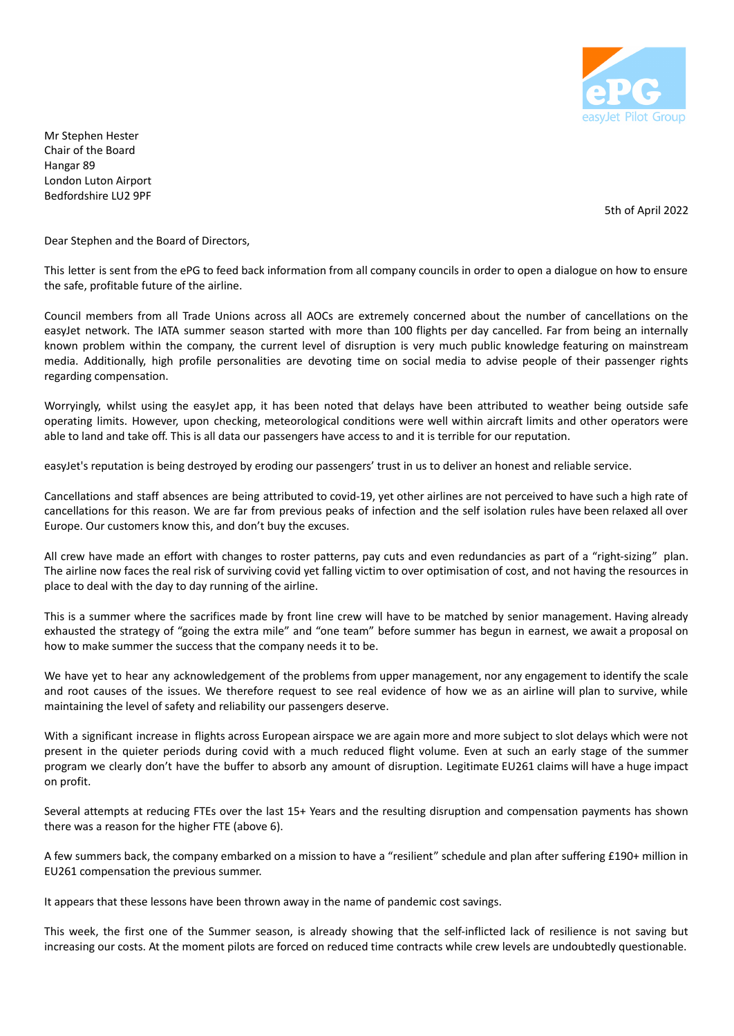

Mr Stephen Hester Chair of the Board Hangar 89 London Luton Airport Bedfordshire LU2 9PF

5th of April 2022

Dear Stephen and the Board of Directors,

This letter is sent from the ePG to feed back information from all company councils in order to open a dialogue on how to ensure the safe, profitable future of the airline.

Council members from all Trade Unions across all AOCs are extremely concerned about the number of cancellations on the easyJet network. The IATA summer season started with more than 100 flights per day cancelled. Far from being an internally known problem within the company, the current level of disruption is very much public knowledge featuring on mainstream media. Additionally, high profile personalities are devoting time on social media to advise people of their passenger rights regarding compensation.

Worryingly, whilst using the easyJet app, it has been noted that delays have been attributed to weather being outside safe operating limits. However, upon checking, meteorological conditions were well within aircraft limits and other operators were able to land and take off. This is all data our passengers have access to and it is terrible for our reputation.

easyJet's reputation is being destroyed by eroding our passengers' trust in us to deliver an honest and reliable service.

Cancellations and staff absences are being attributed to covid-19, yet other airlines are not perceived to have such a high rate of cancellations for this reason. We are far from previous peaks of infection and the self isolation rules have been relaxed all over Europe. Our customers know this, and don't buy the excuses.

All crew have made an effort with changes to roster patterns, pay cuts and even redundancies as part of a "right-sizing" plan. The airline now faces the real risk of surviving covid yet falling victim to over optimisation of cost, and not having the resources in place to deal with the day to day running of the airline.

This is a summer where the sacrifices made by front line crew will have to be matched by senior management. Having already exhausted the strategy of "going the extra mile" and "one team" before summer has begun in earnest, we await a proposal on how to make summer the success that the company needs it to be.

We have yet to hear any acknowledgement of the problems from upper management, nor any engagement to identify the scale and root causes of the issues. We therefore request to see real evidence of how we as an airline will plan to survive, while maintaining the level of safety and reliability our passengers deserve.

With a significant increase in flights across European airspace we are again more and more subject to slot delays which were not present in the quieter periods during covid with a much reduced flight volume. Even at such an early stage of the summer program we clearly don't have the buffer to absorb any amount of disruption. Legitimate EU261 claims will have a huge impact on profit.

Several attempts at reducing FTEs over the last 15+ Years and the resulting disruption and compensation payments has shown there was a reason for the higher FTE (above 6).

A few summers back, the company embarked on a mission to have a "resilient" schedule and plan after suffering £190+ million in EU261 compensation the previous summer.

It appears that these lessons have been thrown away in the name of pandemic cost savings.

This week, the first one of the Summer season, is already showing that the self-inflicted lack of resilience is not saving but increasing our costs. At the moment pilots are forced on reduced time contracts while crew levels are undoubtedly questionable.